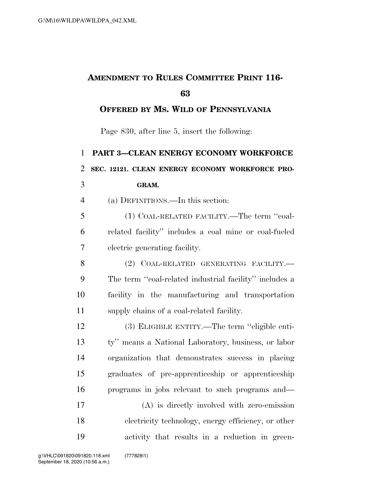## **AMENDMENT TO RULES COMMITTEE PRINT 116-**

## **OFFERED BY MS. WILD OF PENNSYLVANIA**

Page 830, after line 5, insert the following:

## **PART 3—CLEAN ENERGY ECONOMY WORKFORCE SEC. 12121. CLEAN ENERGY ECONOMY WORKFORCE PRO- GRAM.**  (a) DEFINITIONS.—In this section: (1) COAL-RELATED FACILITY.—The term ''coal- related facility'' includes a coal mine or coal-fueled electric generating facility. 8 (2) COAL-RELATED GENERATING FACILITY.— The term ''coal-related industrial facility'' includes a facility in the manufacturing and transportation supply chains of a coal-related facility. (3) ELIGIBLE ENTITY.—The term ''eligible enti- ty'' means a National Laboratory, business, or labor organization that demonstrates success in placing graduates of pre-apprenticeship or apprenticeship programs in jobs relevant to such programs and— (A) is directly involved with zero-emission electricity technology, energy efficiency, or other

activity that results in a reduction in green-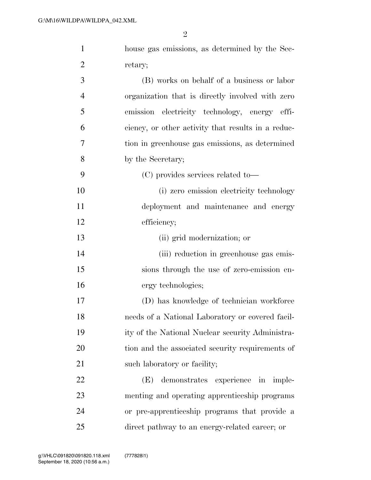| $\mathbf{1}$   | house gas emissions, as determined by the Sec-     |
|----------------|----------------------------------------------------|
| $\overline{2}$ | retary;                                            |
| $\overline{3}$ | (B) works on behalf of a business or labor         |
| $\overline{4}$ | organization that is directly involved with zero   |
| 5              | emission electricity technology, energy effi-      |
| 6              | ciency, or other activity that results in a reduc- |
| 7              | tion in greenhouse gas emissions, as determined    |
| 8              | by the Secretary;                                  |
| 9              | (C) provides services related to-                  |
| 10             | (i) zero emission electricity technology           |
| 11             | deployment and maintenance and energy              |
| 12             | efficiency;                                        |
| 13             | (ii) grid modernization; or                        |
| 14             | (iii) reduction in greenhouse gas emis-            |
| 15             | sions through the use of zero-emission en-         |
| 16             | ergy technologies;                                 |
| 17             | (D) has knowledge of technician workforce          |
| 18             | needs of a National Laboratory or covered facil-   |
| 19             | ity of the National Nuclear security Administra-   |
| 20             | tion and the associated security requirements of   |
| 21             | such laboratory or facility;                       |
| 22             | demonstrates experience in imple-<br>(E)           |
| 23             | menting and operating apprenticeship programs      |
| 24             | or pre-apprenticeship programs that provide a      |
| 25             | direct pathway to an energy-related career; or     |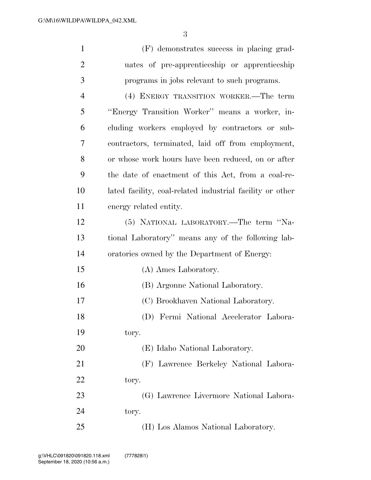| $\mathbf{1}$   | (F) demonstrates success in placing grad-                 |
|----------------|-----------------------------------------------------------|
| $\overline{2}$ | uates of pre-apprenticeship or apprenticeship             |
| 3              | programs in jobs relevant to such programs.               |
| 4              | (4) ENERGY TRANSITION WORKER.—The term                    |
| 5              | "Energy Transition Worker" means a worker, in-            |
| 6              | cluding workers employed by contractors or sub-           |
| 7              | contractors, terminated, laid off from employment,        |
| 8              | or whose work hours have been reduced, on or after        |
| 9              | the date of enactment of this Act, from a coal-re-        |
| 10             | lated facility, coal-related industrial facility or other |
| 11             | energy related entity.                                    |
| 12             | (5) NATIONAL LABORATORY.—The term "Na-                    |
| 13             | tional Laboratory" means any of the following lab-        |
| 14             | oratories owned by the Department of Energy:              |
| 15             | (A) Ames Laboratory.                                      |
| 16             | (B) Argonne National Laboratory.                          |
| 17             | (C) Brookhaven National Laboratory.                       |
| 18             | (D) Fermi National Accelerator Labora-                    |
| 19             | tory.                                                     |
| 20             | (E) Idaho National Laboratory.                            |
| 21             | (F) Lawrence Berkeley National Labora-                    |
| 22             | tory.                                                     |
| 23             | (G) Lawrence Livermore National Labora-                   |
| 24             | tory.                                                     |

(H) Los Alamos National Laboratory.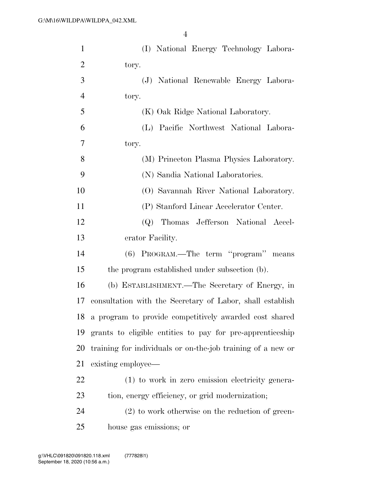| $\mathbf{1}$   | (I) National Energy Technology Labora-                      |
|----------------|-------------------------------------------------------------|
| $\overline{2}$ | tory.                                                       |
| 3              | (J) National Renewable Energy Labora-                       |
| $\overline{4}$ | tory.                                                       |
| 5              | (K) Oak Ridge National Laboratory.                          |
| 6              | (L) Pacific Northwest National Labora-                      |
| 7              | tory.                                                       |
| 8              | (M) Princeton Plasma Physics Laboratory.                    |
| 9              | (N) Sandia National Laboratories.                           |
| 10             | (O) Savannah River National Laboratory.                     |
| 11             | (P) Stanford Linear Accelerator Center.                     |
| 12             | (Q) Thomas Jefferson National Accel-                        |
| 13             | erator Facility.                                            |
| 14             | (6) PROGRAM.—The term "program" means                       |
| 15             | the program established under subsection (b).               |
| 16             | (b) ESTABLISHMENT.—The Secretary of Energy, in              |
| 17             | consultation with the Secretary of Labor, shall establish   |
|                | 18 a program to provide competitively awarded cost shared   |
| 19             | grants to eligible entities to pay for pre-apprenticeship   |
| 20             | training for individuals or on-the-job training of a new or |
| 21             | existing employee—                                          |
| 22             | (1) to work in zero emission electricity genera-            |
| 23             | tion, energy efficiency, or grid modernization;             |
| 24             | $(2)$ to work otherwise on the reduction of green-          |
| 25             | house gas emissions; or                                     |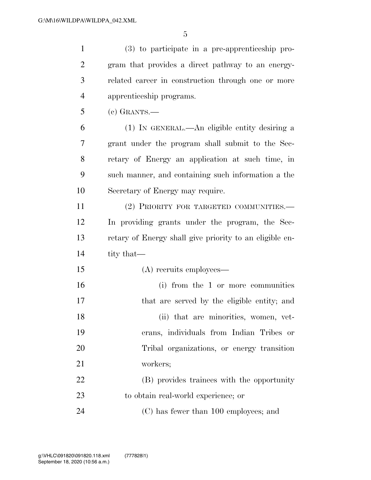(3) to participate in a pre-apprenticeship pro- gram that provides a direct pathway to an energy- related career in construction through one or more apprenticeship programs. (c) GRANTS.— (1) IN GENERAL.—An eligible entity desiring a grant under the program shall submit to the Sec- retary of Energy an application at such time, in such manner, and containing such information a the Secretary of Energy may require. (2) PRIORITY FOR TARGETED COMMUNITIES.— In providing grants under the program, the Sec- retary of Energy shall give priority to an eligible en- tity that— (A) recruits employees— (i) from the 1 or more communities

 that are served by the eligible entity; and 18 (ii) that are minorities, women, vet- erans, individuals from Indian Tribes or Tribal organizations, or energy transition workers; (B) provides trainees with the opportunity to obtain real-world experience; or

(C) has fewer than 100 employees; and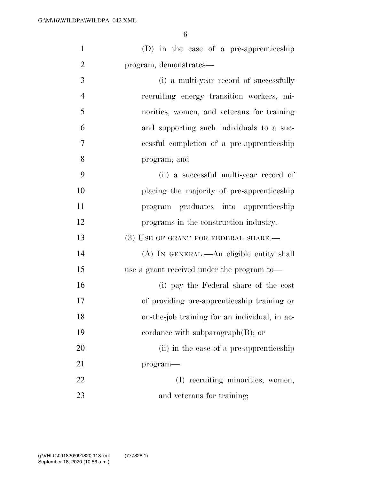| $\mathbf{1}$   | (D) in the case of a pre-apprenticeship       |
|----------------|-----------------------------------------------|
| $\overline{2}$ | program, demonstrates—                        |
| 3              | (i) a multi-year record of successfully       |
| $\overline{4}$ | recruiting energy transition workers, mi-     |
| 5              | norities, women, and veterans for training    |
| 6              | and supporting such individuals to a suc-     |
| 7              | cessful completion of a pre-apprenticeship    |
| 8              | program; and                                  |
| 9              | (ii) a successful multi-year record of        |
| 10             | placing the majority of pre-apprenticeship    |
| 11             | program graduates into apprenticeship         |
| 12             | programs in the construction industry.        |
| 13             | (3) USE OF GRANT FOR FEDERAL SHARE.-          |
| 14             | (A) IN GENERAL.—An eligible entity shall      |
| 15             | use a grant received under the program to—    |
| 16             | (i) pay the Federal share of the cost         |
| 17             | of providing pre-apprenticeship training or   |
| 18             | on-the-job training for an individual, in ac- |
| 19             | cordance with subparagraph $(B)$ ; or         |
| 20             | (ii) in the case of a pre-apprenticeship      |
| 21             | program-                                      |
| 22             | (I) recruiting minorities, women,             |
| 23             | and veterans for training;                    |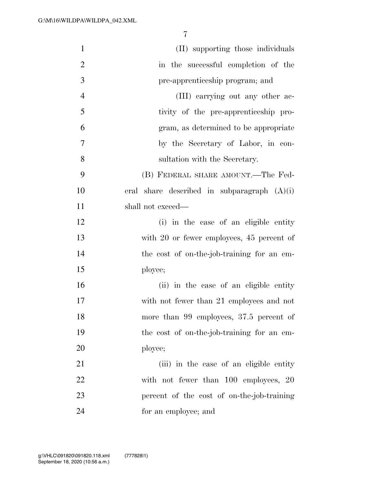| $\mathbf{1}$   | (II) supporting those individuals             |
|----------------|-----------------------------------------------|
| $\overline{2}$ | in the successful completion of the           |
| 3              | pre-apprenticeship program; and               |
| $\overline{4}$ | (III) carrying out any other ac-              |
| 5              | tivity of the pre-apprenticeship pro-         |
| 6              | gram, as determined to be appropriate         |
| 7              | by the Secretary of Labor, in con-            |
| 8              | sultation with the Secretary.                 |
| 9              | (B) FEDERAL SHARE AMOUNT.—The Fed-            |
| 10             | eral share described in subparagraph $(A)(i)$ |
| 11             | shall not exceed—                             |
| 12             | (i) in the case of an eligible entity         |
| 13             | with 20 or fewer employees, 45 percent of     |
| 14             | the cost of on-the-job-training for an em-    |
| 15             | ployee;                                       |
| 16             | (ii) in the case of an eligible entity        |
| 17             | with not fewer than 21 employees and not      |
| 18             | more than 99 employees, 37.5 percent of       |
| 19             | the cost of on-the-job-training for an em-    |
| 20             | ployee;                                       |
| 21             | (iii) in the case of an eligible entity       |
| 22             | with not fewer than 100 employees, 20         |
| 23             | percent of the cost of on-the-job-training    |
| 24             | for an employee; and                          |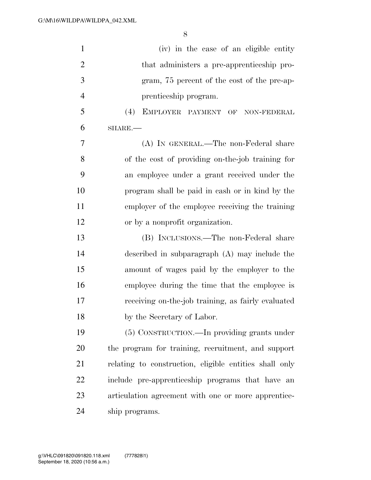| $\mathbf{1}$   | (iv) in the case of an eligible entity                 |
|----------------|--------------------------------------------------------|
| $\overline{2}$ | that administers a pre-apprenticeship pro-             |
| 3              | gram, 75 percent of the cost of the pre-ap-            |
| $\overline{4}$ | prenticeship program.                                  |
| 5              | EMPLOYER PAYMENT OF NON-FEDERAL<br>(4)                 |
| 6              | SHARE.-                                                |
| 7              | (A) IN GENERAL.—The non-Federal share                  |
| 8              | of the cost of providing on-the-job training for       |
| 9              | an employee under a grant received under the           |
| 10             | program shall be paid in cash or in kind by the        |
| 11             | employer of the employee receiving the training        |
| 12             | or by a nonprofit organization.                        |
| 13             | (B) INCLUSIONS.—The non-Federal share                  |
| 14             | described in subparagraph $(A)$ may include the        |
| 15             | amount of wages paid by the employer to the            |
| 16             | employee during the time that the employee is          |
| 17             | receiving on-the-job training, as fairly evaluated     |
| 18             | by the Secretary of Labor.                             |
| 19             | (5) CONSTRUCTION.—In providing grants under            |
| 20             | the program for training, recruitment, and support     |
| 21             | relating to construction, eligible entities shall only |
| 22             | include pre-apprenticeship programs that have an       |
| 23             | articulation agreement with one or more apprentice-    |
| 24             | ship programs.                                         |